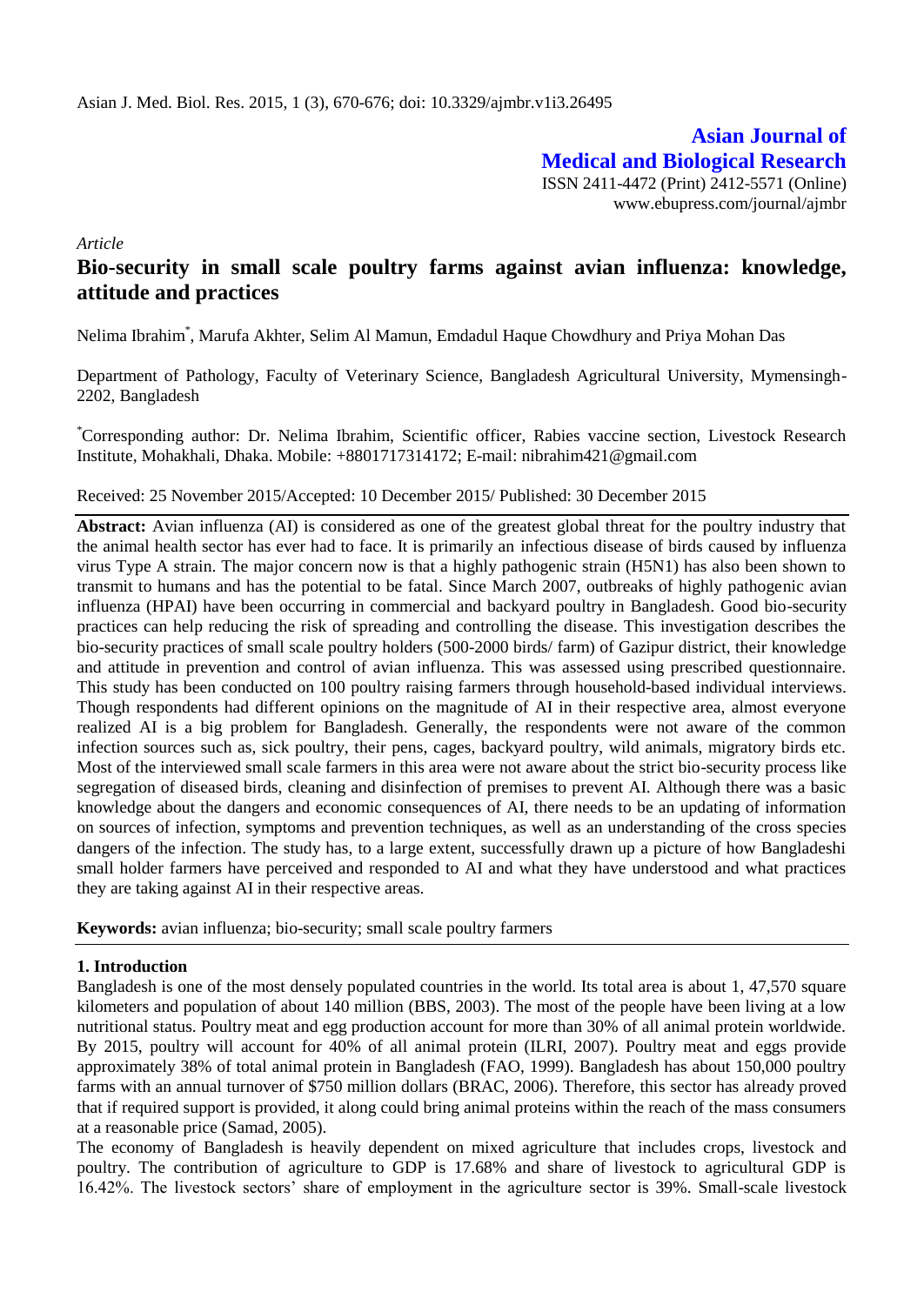# **Asian Journal of Medical and Biological Research** ISSN 2411-4472 (Print) 2412-5571 (Online)

www.ebupress.com/journal/ajmbr

*Article*

# **Bio-security in small scale poultry farms against avian influenza: knowledge, attitude and practices**

Nelima Ibrahim\* , Marufa Akhter, Selim Al Mamun, Emdadul Haque Chowdhury and Priya Mohan Das

Department of Pathology, Faculty of Veterinary Science, Bangladesh Agricultural University, Mymensingh-2202, Bangladesh

\*Corresponding author: Dr. Nelima Ibrahim, Scientific officer, Rabies vaccine section, Livestock Research Institute, Mohakhali, Dhaka. Mobile: +8801717314172; E-mail: [nibrahim421@gmail.com](mailto:nibrahim421@gmail.com)

#### Received: 25 November 2015/Accepted: 10 December 2015/ Published: 30 December 2015

**Abstract:** Avian influenza (AI) is considered as one of the greatest global threat for the poultry industry that the animal health sector has ever had to face. It is primarily an infectious disease of birds caused by influenza virus Type A strain. The major concern now is that a highly pathogenic strain (H5N1) has also been shown to transmit to humans and has the potential to be fatal. Since March 2007, outbreaks of highly pathogenic avian influenza (HPAI) have been occurring in commercial and backyard poultry in Bangladesh. Good bio-security practices can help reducing the risk of spreading and controlling the disease. This investigation describes the bio-security practices of small scale poultry holders (500-2000 birds/ farm) of Gazipur district, their knowledge and attitude in prevention and control of avian influenza. This was assessed using prescribed questionnaire. This study has been conducted on 100 poultry raising farmers through household-based individual interviews. Though respondents had different opinions on the magnitude of AI in their respective area, almost everyone realized AI is a big problem for Bangladesh. Generally, the respondents were not aware of the common infection sources such as, sick poultry, their pens, cages, backyard poultry, wild animals, migratory birds etc. Most of the interviewed small scale farmers in this area were not aware about the strict bio-security process like segregation of diseased birds, cleaning and disinfection of premises to prevent AI. Although there was a basic knowledge about the dangers and economic consequences of AI, there needs to be an updating of information on sources of infection, symptoms and prevention techniques, as well as an understanding of the cross species dangers of the infection. The study has, to a large extent, successfully drawn up a picture of how Bangladeshi small holder farmers have perceived and responded to AI and what they have understood and what practices they are taking against AI in their respective areas.

**Keywords:** avian influenza; bio-security; small scale poultry farmers

#### **1. Introduction**

Bangladesh is one of the most densely populated countries in the world. Its total area is about 1, 47,570 square kilometers and population of about 140 million (BBS, 2003). The most of the people have been living at a low nutritional status. Poultry meat and egg production account for more than 30% of all animal protein worldwide. By 2015, poultry will account for 40% of all animal protein (ILRI, 2007). Poultry meat and eggs provide approximately 38% of total animal protein in Bangladesh (FAO, 1999). Bangladesh has about 150,000 poultry farms with an annual turnover of \$750 million dollars (BRAC, 2006). Therefore, this sector has already proved that if required support is provided, it along could bring animal proteins within the reach of the mass consumers at a reasonable price (Samad, 2005).

The economy of Bangladesh is heavily dependent on mixed agriculture that includes crops, livestock and poultry. The contribution of agriculture to GDP is 17.68% and share of livestock to agricultural GDP is 16.42%. The livestock sectors" share of employment in the agriculture sector is 39%. Small-scale livestock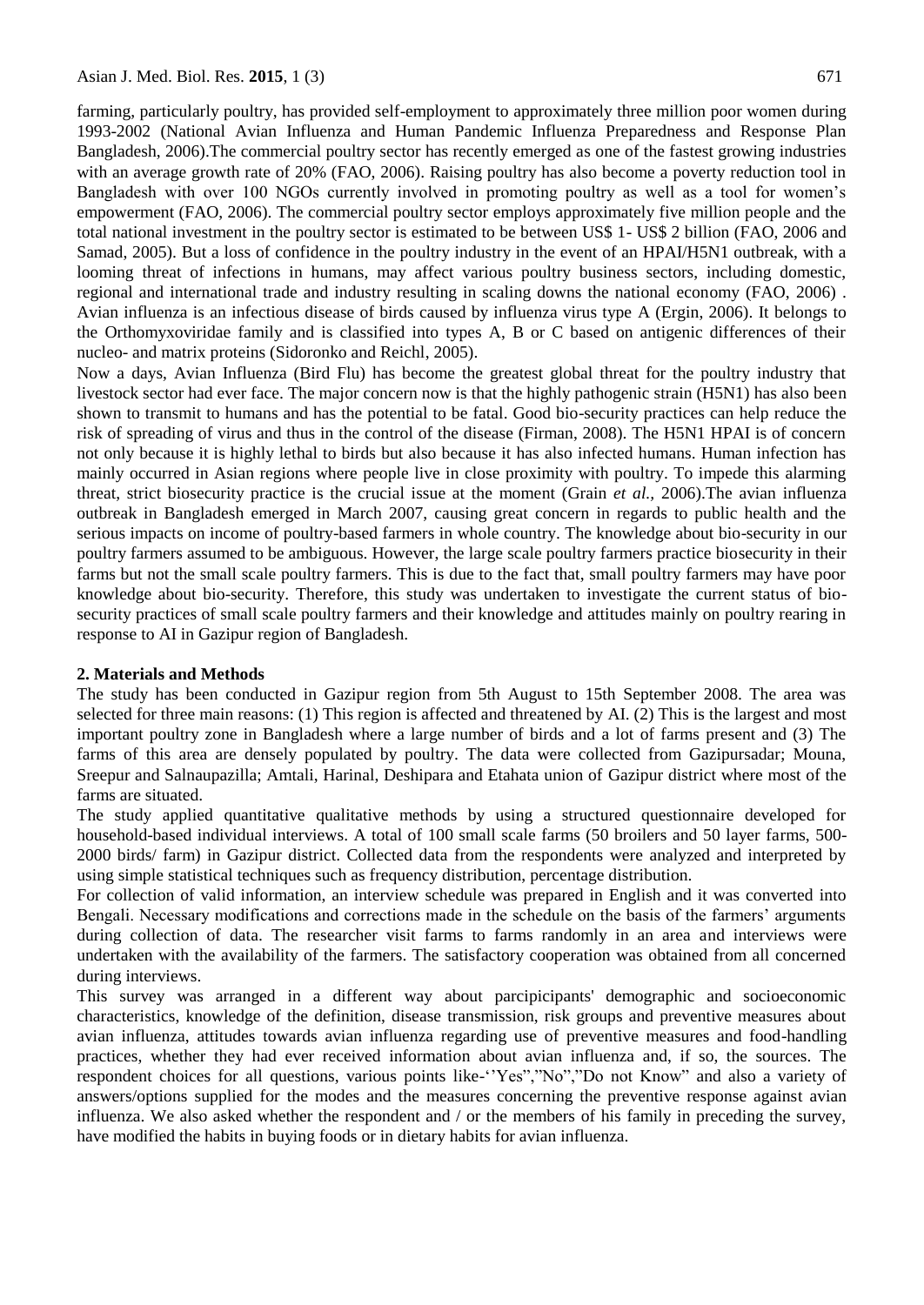farming, particularly poultry, has provided self-employment to approximately three million poor women during 1993-2002 (National Avian Influenza and Human Pandemic Influenza Preparedness and Response Plan Bangladesh, 2006).The commercial poultry sector has recently emerged as one of the fastest growing industries with an average growth rate of 20% (FAO, 2006). Raising poultry has also become a poverty reduction tool in Bangladesh with over 100 NGOs currently involved in promoting poultry as well as a tool for women"s empowerment (FAO, 2006). The commercial poultry sector employs approximately five million people and the total national investment in the poultry sector is estimated to be between US\$ 1- US\$ 2 billion (FAO, 2006 and Samad, 2005). But a loss of confidence in the poultry industry in the event of an HPAI/H5N1 outbreak, with a looming threat of infections in humans, may affect various poultry business sectors, including domestic, regional and international trade and industry resulting in scaling downs the national economy (FAO, 2006) . Avian influenza is an infectious disease of birds caused by influenza virus type A (Ergin, 2006). It belongs to the Orthomyxoviridae family and is classified into types A, B or C based on antigenic differences of their nucleo- and matrix proteins (Sidoronko and Reichl, 2005).

Now a days, Avian Influenza (Bird Flu) has become the greatest global threat for the poultry industry that livestock sector had ever face. The major concern now is that the highly pathogenic strain (H5N1) has also been shown to transmit to humans and has the potential to be fatal. Good bio-security practices can help reduce the risk of spreading of virus and thus in the control of the disease (Firman, 2008). The H5N1 HPAI is of concern not only because it is highly lethal to birds but also because it has also infected humans. Human infection has mainly occurred in Asian regions where people live in close proximity with poultry. To impede this alarming threat, strict biosecurity practice is the crucial issue at the moment (Grain *et al.,* 2006).The avian influenza outbreak in Bangladesh emerged in March 2007, causing great concern in regards to public health and the serious impacts on income of poultry-based farmers in whole country. The knowledge about bio-security in our poultry farmers assumed to be ambiguous. However, the large scale poultry farmers practice biosecurity in their farms but not the small scale poultry farmers. This is due to the fact that, small poultry farmers may have poor knowledge about bio-security. Therefore, this study was undertaken to investigate the current status of biosecurity practices of small scale poultry farmers and their knowledge and attitudes mainly on poultry rearing in response to AI in Gazipur region of Bangladesh.

#### **2. Materials and Methods**

The study has been conducted in Gazipur region from 5th August to 15th September 2008. The area was selected for three main reasons: (1) This region is affected and threatened by AI. (2) This is the largest and most important poultry zone in Bangladesh where a large number of birds and a lot of farms present and (3) The farms of this area are densely populated by poultry. The data were collected from Gazipursadar; Mouna, Sreepur and Salnaupazilla; Amtali, Harinal, Deshipara and Etahata union of Gazipur district where most of the farms are situated.

The study applied quantitative qualitative methods by using a structured questionnaire developed for household-based individual interviews. A total of 100 small scale farms (50 broilers and 50 layer farms, 500- 2000 birds/ farm) in Gazipur district. Collected data from the respondents were analyzed and interpreted by using simple statistical techniques such as frequency distribution, percentage distribution.

For collection of valid information, an interview schedule was prepared in English and it was converted into Bengali. Necessary modifications and corrections made in the schedule on the basis of the farmers' arguments during collection of data. The researcher visit farms to farms randomly in an area and interviews were undertaken with the availability of the farmers. The satisfactory cooperation was obtained from all concerned during interviews.

This survey was arranged in a different way about parcipicipants' demographic and socioeconomic characteristics, knowledge of the definition, disease transmission, risk groups and preventive measures about avian influenza, attitudes towards avian influenza regarding use of preventive measures and food-handling practices, whether they had ever received information about avian influenza and, if so, the sources. The respondent choices for all questions, various points like-"Yes","No","Do not Know" and also a variety of answers/options supplied for the modes and the measures concerning the preventive response against avian influenza. We also asked whether the respondent and / or the members of his family in preceding the survey, have modified the habits in buying foods or in dietary habits for avian influenza.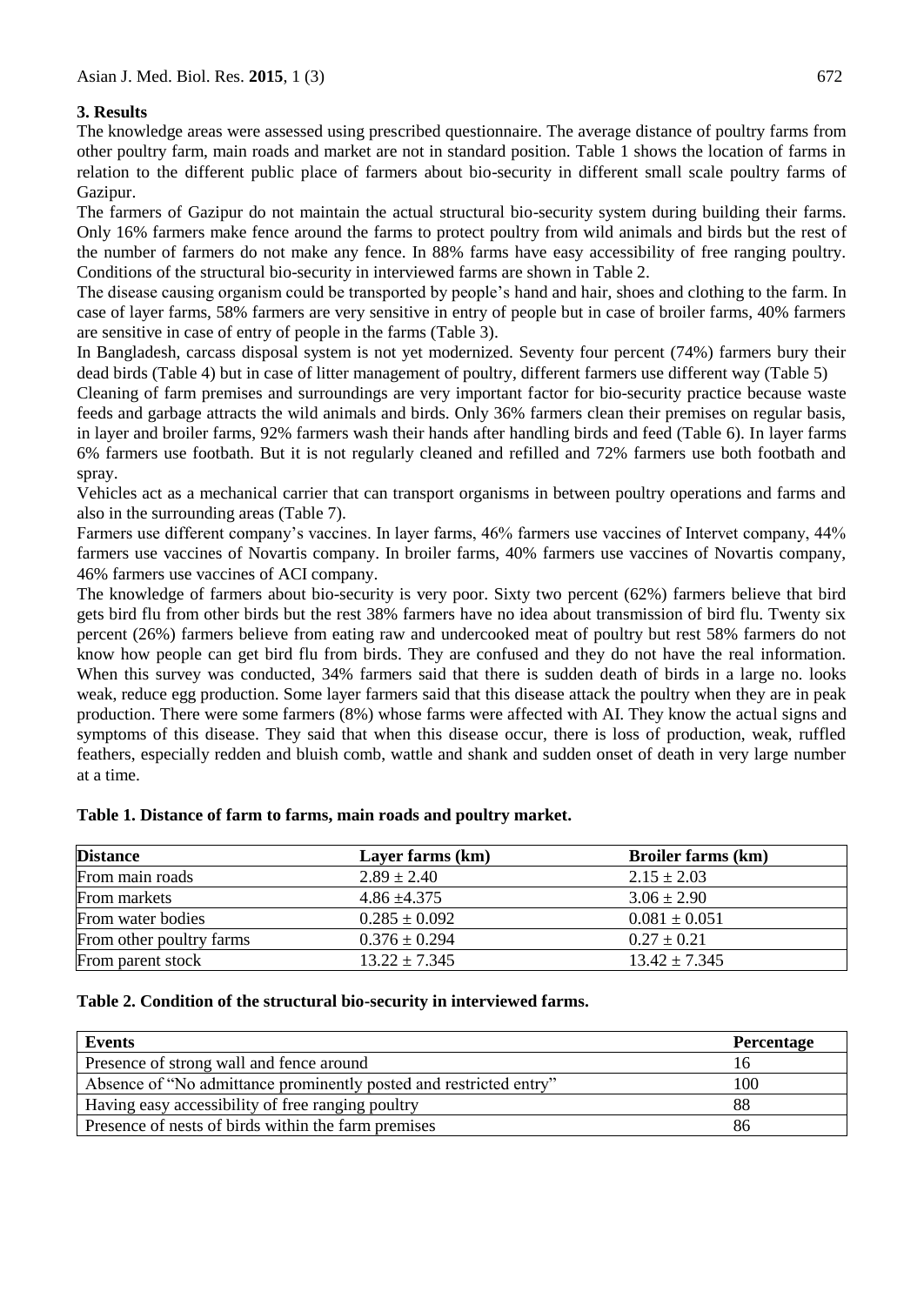# **3. Results**

The knowledge areas were assessed using prescribed questionnaire. The average distance of poultry farms from other poultry farm, main roads and market are not in standard position. Table 1 shows the location of farms in relation to the different public place of farmers about bio-security in different small scale poultry farms of Gazipur.

The farmers of Gazipur do not maintain the actual structural bio-security system during building their farms. Only 16% farmers make fence around the farms to protect poultry from wild animals and birds but the rest of the number of farmers do not make any fence. In 88% farms have easy accessibility of free ranging poultry. Conditions of the structural bio-security in interviewed farms are shown in Table 2.

The disease causing organism could be transported by people"s hand and hair, shoes and clothing to the farm. In case of layer farms, 58% farmers are very sensitive in entry of people but in case of broiler farms, 40% farmers are sensitive in case of entry of people in the farms (Table 3).

In Bangladesh, carcass disposal system is not yet modernized. Seventy four percent (74%) farmers bury their dead birds (Table 4) but in case of litter management of poultry, different farmers use different way (Table 5)

Cleaning of farm premises and surroundings are very important factor for bio-security practice because waste feeds and garbage attracts the wild animals and birds. Only 36% farmers clean their premises on regular basis, in layer and broiler farms, 92% farmers wash their hands after handling birds and feed (Table 6). In layer farms 6% farmers use footbath. But it is not regularly cleaned and refilled and 72% farmers use both footbath and spray.

Vehicles act as a mechanical carrier that can transport organisms in between poultry operations and farms and also in the surrounding areas (Table 7).

Farmers use different company's vaccines. In layer farms, 46% farmers use vaccines of Intervet company, 44% farmers use vaccines of Novartis company. In broiler farms, 40% farmers use vaccines of Novartis company, 46% farmers use vaccines of ACI company.

The knowledge of farmers about bio-security is very poor. Sixty two percent (62%) farmers believe that bird gets bird flu from other birds but the rest 38% farmers have no idea about transmission of bird flu. Twenty six percent (26%) farmers believe from eating raw and undercooked meat of poultry but rest 58% farmers do not know how people can get bird flu from birds. They are confused and they do not have the real information. When this survey was conducted, 34% farmers said that there is sudden death of birds in a large no. looks weak, reduce egg production. Some layer farmers said that this disease attack the poultry when they are in peak production. There were some farmers (8%) whose farms were affected with AI. They know the actual signs and symptoms of this disease. They said that when this disease occur, there is loss of production, weak, ruffled feathers, especially redden and bluish comb, wattle and shank and sudden onset of death in very large number at a time.

| <b>Distance</b>          | Layer farms (km)  | <b>Broiler farms (km)</b> |
|--------------------------|-------------------|---------------------------|
| From main roads          | $2.89 \pm 2.40$   | $2.15 \pm 2.03$           |
| From markets             | $4.86 \pm 4.375$  | $3.06 \pm 2.90$           |
| From water bodies        | $0.285 \pm 0.092$ | $0.081 \pm 0.051$         |
| From other poultry farms | $0.376 \pm 0.294$ | $0.27 \pm 0.21$           |
| From parent stock        | $13.22 \pm 7.345$ | $13.42 \pm 7.345$         |

## **Table 1. Distance of farm to farms, main roads and poultry market.**

#### **Table 2. Condition of the structural bio-security in interviewed farms.**

| Events                                                             | <b>Percentage</b> |
|--------------------------------------------------------------------|-------------------|
| Presence of strong wall and fence around                           |                   |
| Absence of "No admittance prominently posted and restricted entry" | 100               |
| Having easy accessibility of free ranging poultry                  | 88                |
| Presence of nests of birds within the farm premises                | 86                |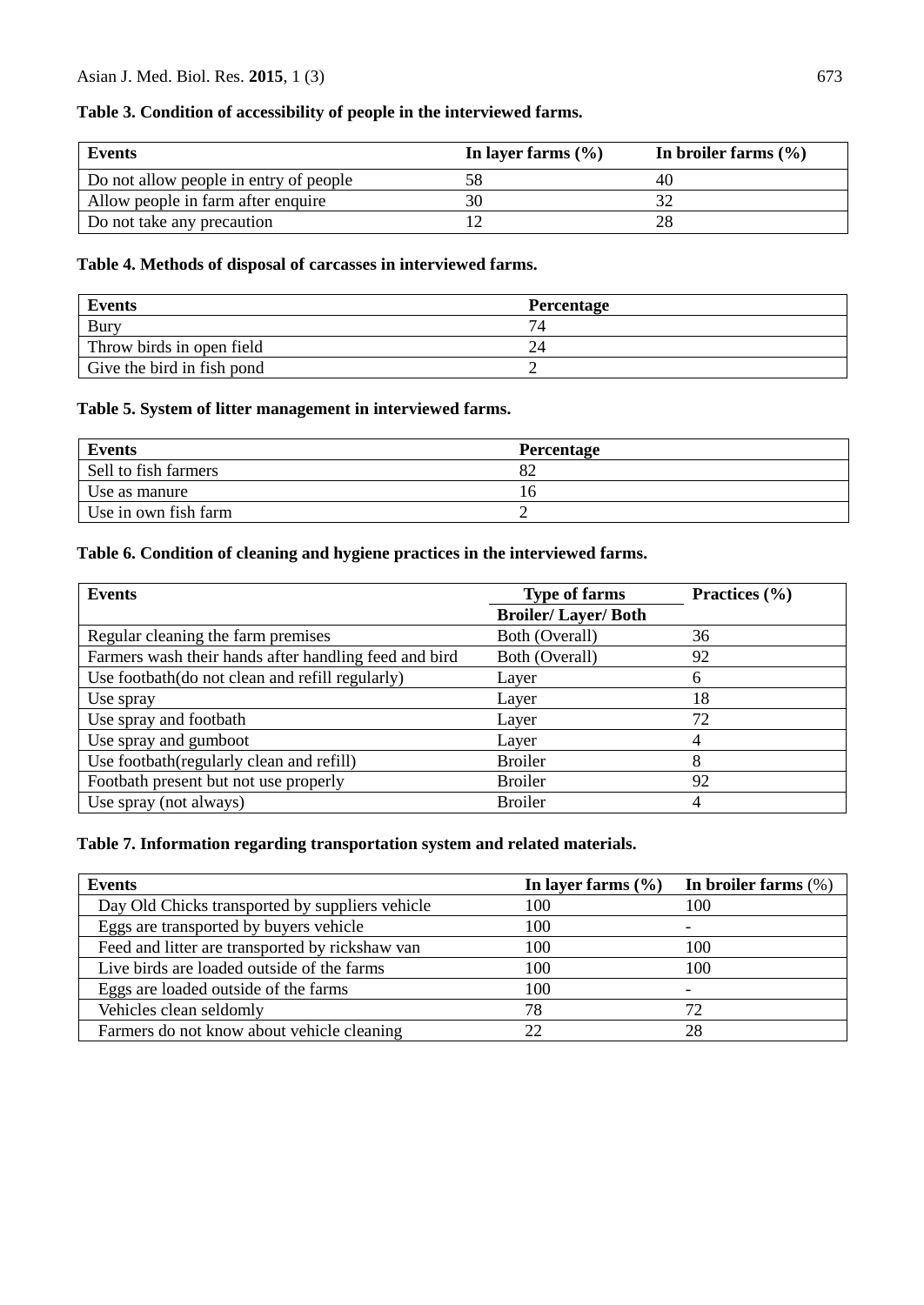## **Table 3. Condition of accessibility of people in the interviewed farms.**

| <b>Events</b>                          | In layer farms $(\% )$ | In broiler farms $(\% )$ |
|----------------------------------------|------------------------|--------------------------|
| Do not allow people in entry of people |                        |                          |
| Allow people in farm after enquire     | 30                     |                          |
| Do not take any precaution             |                        |                          |

### **Table 4. Methods of disposal of carcasses in interviewed farms.**

| <b>Events</b>              | Percentage |
|----------------------------|------------|
| <b>Bury</b>                | 74         |
| Throw birds in open field  |            |
| Give the bird in fish pond |            |

#### **Table 5. System of litter management in interviewed farms.**

| <b>Events</b>        | <b>Percentage</b> |
|----------------------|-------------------|
| Sell to fish farmers | 82                |
| Use as manure        | $\mathbf{p}$      |
| Use in own fish farm |                   |

# **Table 6. Condition of cleaning and hygiene practices in the interviewed farms.**

| Events                                                | <b>Type of farms</b>      | Practices $(\% )$ |
|-------------------------------------------------------|---------------------------|-------------------|
|                                                       | <b>Broiler/Layer/Both</b> |                   |
| Regular cleaning the farm premises                    | Both (Overall)            | 36                |
| Farmers wash their hands after handling feed and bird | Both (Overall)            | 92                |
| Use footbath(do not clean and refill regularly)       | Layer                     | 6                 |
| Use spray                                             | Layer                     | 18                |
| Use spray and footbath                                | Layer                     | 72                |
| Use spray and gumboot                                 | Layer                     | 4                 |
| Use footbath (regularly clean and refill)             | <b>Broiler</b>            | 8                 |
| Footbath present but not use properly                 | <b>Broiler</b>            | 92                |
| Use spray (not always)                                | <b>Broiler</b>            | 4                 |

### **Table 7. Information regarding transportation system and related materials.**

| Events                                          | In layer farms $(\% )$ | In broiler farms $(\%)$ |
|-------------------------------------------------|------------------------|-------------------------|
| Day Old Chicks transported by suppliers vehicle | 100                    | 100                     |
| Eggs are transported by buyers vehicle          | 100                    | -                       |
| Feed and litter are transported by rickshaw van | 100                    | 100                     |
| Live birds are loaded outside of the farms      | 100                    | 100                     |
| Eggs are loaded outside of the farms            | 100                    |                         |
| Vehicles clean seldomly                         | 78                     | 72                      |
| Farmers do not know about vehicle cleaning      | 22                     | 28                      |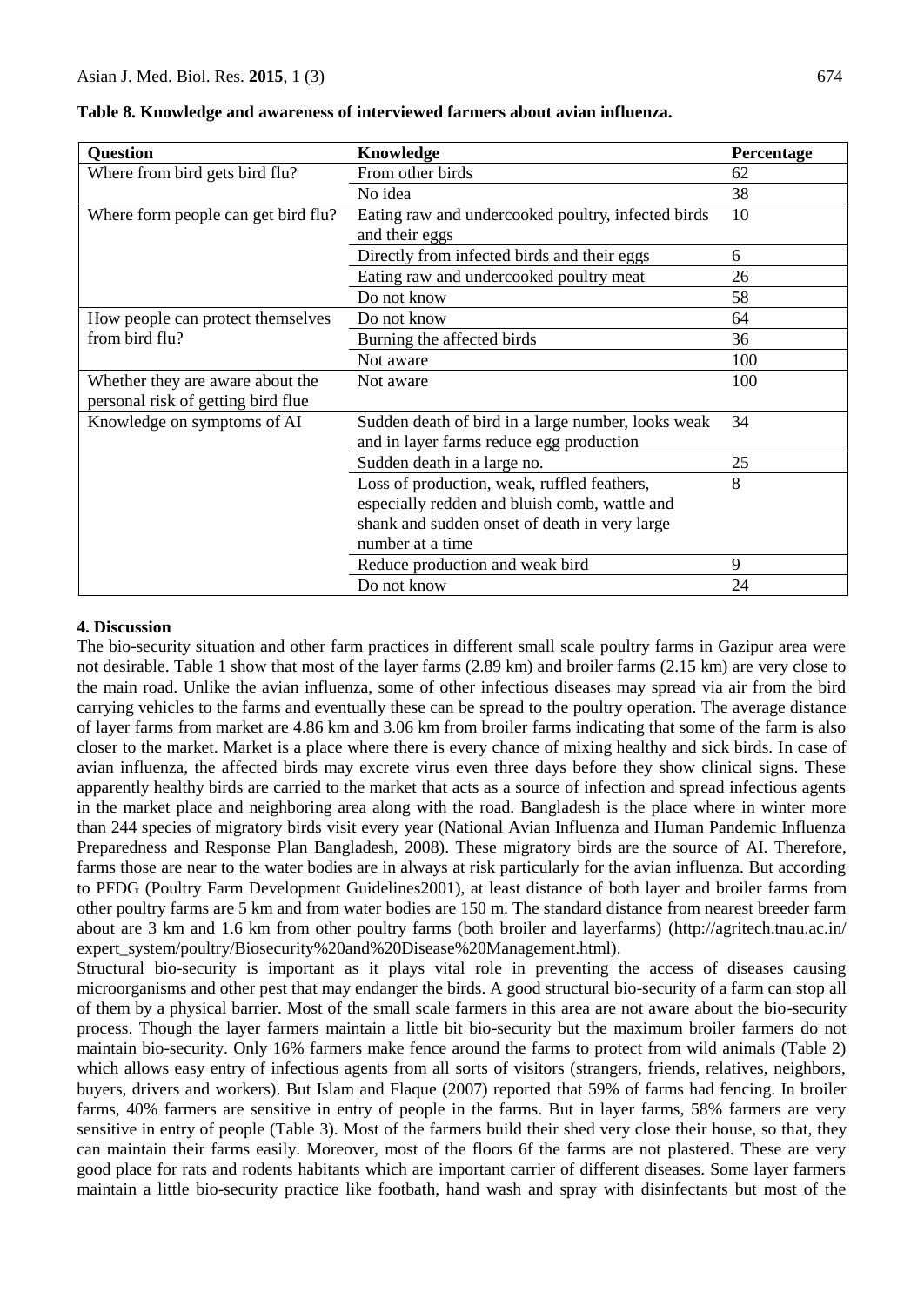| <b>Question</b>                     | <b>Knowledge</b>                                   | Percentage |
|-------------------------------------|----------------------------------------------------|------------|
| Where from bird gets bird flu?      | From other birds                                   | 62         |
|                                     | No idea                                            | 38         |
| Where form people can get bird flu? | Eating raw and undercooked poultry, infected birds | 10         |
|                                     | and their eggs                                     |            |
|                                     | Directly from infected birds and their eggs        | 6          |
|                                     | Eating raw and undercooked poultry meat            | 26         |
|                                     | Do not know                                        | 58         |
| How people can protect themselves   | Do not know                                        | 64         |
| from bird flu?                      | Burning the affected birds                         | 36         |
|                                     | Not aware                                          | 100        |
| Whether they are aware about the    | Not aware                                          | 100        |
| personal risk of getting bird flue  |                                                    |            |
| Knowledge on symptoms of AI         | Sudden death of bird in a large number, looks weak | 34         |
|                                     | and in layer farms reduce egg production           |            |
|                                     | Sudden death in a large no.                        | 25         |
|                                     | Loss of production, weak, ruffled feathers,        | 8          |
|                                     | especially redden and bluish comb, wattle and      |            |
|                                     | shank and sudden onset of death in very large      |            |
|                                     | number at a time                                   |            |
|                                     | Reduce production and weak bird                    | 9          |
|                                     | Do not know                                        | 24         |

### **4. Discussion**

The bio-security situation and other farm practices in different small scale poultry farms in Gazipur area were not desirable. Table 1 show that most of the layer farms (2.89 km) and broiler farms (2.15 km) are very close to the main road. Unlike the avian influenza, some of other infectious diseases may spread via air from the bird carrying vehicles to the farms and eventually these can be spread to the poultry operation. The average distance of layer farms from market are 4.86 km and 3.06 km from broiler farms indicating that some of the farm is also closer to the market. Market is a place where there is every chance of mixing healthy and sick birds. In case of avian influenza, the affected birds may excrete virus even three days before they show clinical signs. These apparently healthy birds are carried to the market that acts as a source of infection and spread infectious agents in the market place and neighboring area along with the road. Bangladesh is the place where in winter more than 244 species of migratory birds visit every year (National Avian Influenza and Human Pandemic Influenza Preparedness and Response Plan Bangladesh, 2008). These migratory birds are the source of AI. Therefore, farms those are near to the water bodies are in always at risk particularly for the avian influenza. But according to PFDG (Poultry Farm Development Guidelines2001), at least distance of both layer and broiler farms from other poultry farms are 5 km and from water bodies are 150 m. The standard distance from nearest breeder farm about are 3 km and 1.6 km from other poultry farms (both broiler and layerfarms) (http://agritech.tnau.ac.in/ expert\_system/poultry/Biosecurity%20and%20Disease%20Management.html).

Structural bio-security is important as it plays vital role in preventing the access of diseases causing microorganisms and other pest that may endanger the birds. A good structural bio-security of a farm can stop all of them by a physical barrier. Most of the small scale farmers in this area are not aware about the bio-security process. Though the layer farmers maintain a little bit bio-security but the maximum broiler farmers do not maintain bio-security. Only 16% farmers make fence around the farms to protect from wild animals (Table 2) which allows easy entry of infectious agents from all sorts of visitors (strangers, friends, relatives, neighbors, buyers, drivers and workers). But Islam and Flaque (2007) reported that 59% of farms had fencing. In broiler farms, 40% farmers are sensitive in entry of people in the farms. But in layer farms, 58% farmers are very sensitive in entry of people (Table 3). Most of the farmers build their shed very close their house, so that, they can maintain their farms easily. Moreover, most of the floors 6f the farms are not plastered. These are very good place for rats and rodents habitants which are important carrier of different diseases. Some layer farmers maintain a little bio-security practice like footbath, hand wash and spray with disinfectants but most of the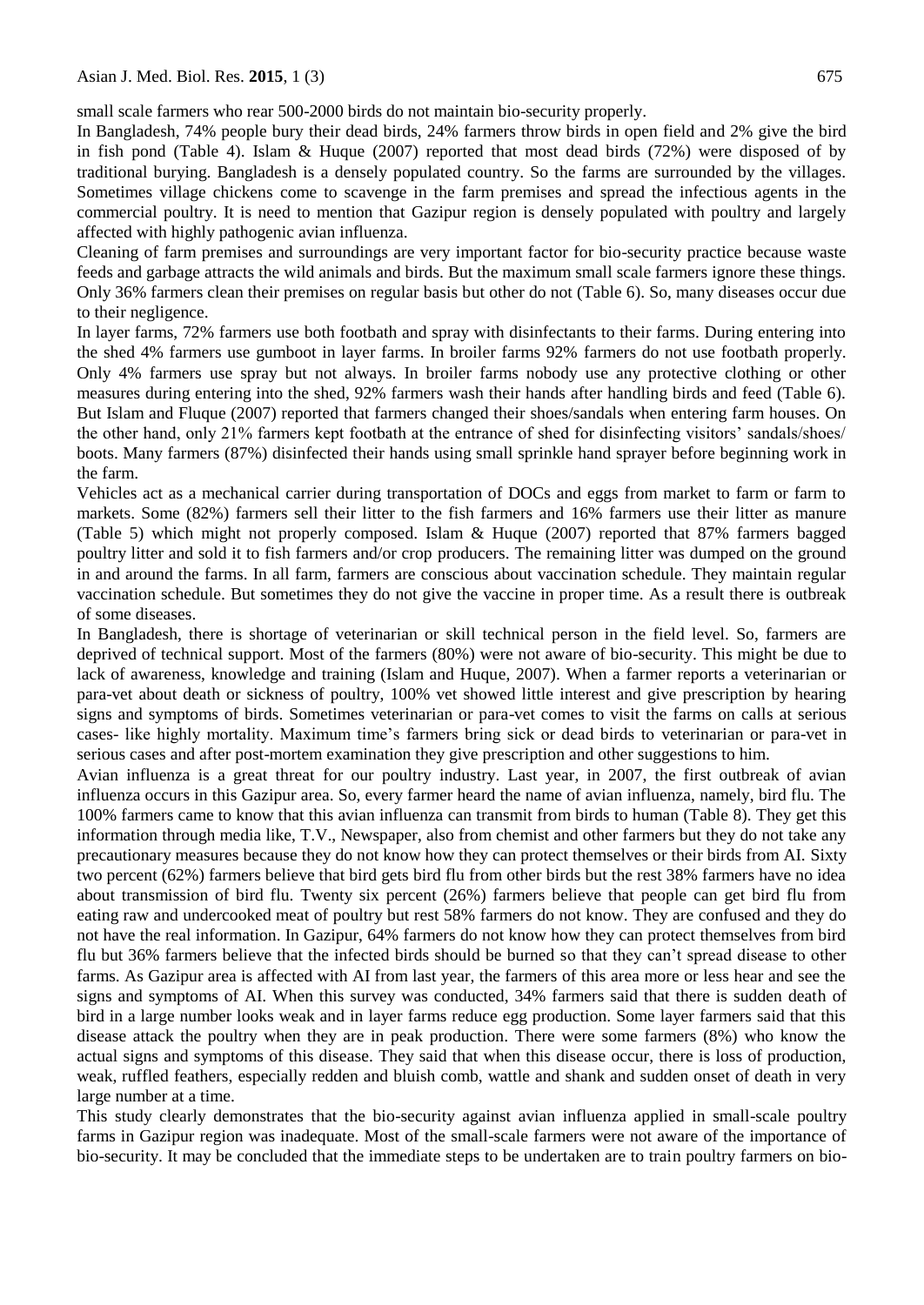small scale farmers who rear 500-2000 birds do not maintain bio-security properly.

In Bangladesh, 74% people bury their dead birds, 24% farmers throw birds in open field and 2% give the bird in fish pond (Table 4). Islam & Huque (2007) reported that most dead birds (72%) were disposed of by traditional burying. Bangladesh is a densely populated country. So the farms are surrounded by the villages. Sometimes village chickens come to scavenge in the farm premises and spread the infectious agents in the commercial poultry. It is need to mention that Gazipur region is densely populated with poultry and largely affected with highly pathogenic avian influenza.

Cleaning of farm premises and surroundings are very important factor for bio-security practice because waste feeds and garbage attracts the wild animals and birds. But the maximum small scale farmers ignore these things. Only 36% farmers clean their premises on regular basis but other do not (Table 6). So, many diseases occur due to their negligence.

In layer farms, 72% farmers use both footbath and spray with disinfectants to their farms. During entering into the shed 4% farmers use gumboot in layer farms. In broiler farms 92% farmers do not use footbath properly. Only 4% farmers use spray but not always. In broiler farms nobody use any protective clothing or other measures during entering into the shed, 92% farmers wash their hands after handling birds and feed (Table 6). But Islam and Fluque (2007) reported that farmers changed their shoes/sandals when entering farm houses. On the other hand, only 21% farmers kept footbath at the entrance of shed for disinfecting visitors" sandals/shoes/ boots. Many farmers (87%) disinfected their hands using small sprinkle hand sprayer before beginning work in the farm.

Vehicles act as a mechanical carrier during transportation of DOCs and eggs from market to farm or farm to markets. Some (82%) farmers sell their litter to the fish farmers and 16% farmers use their litter as manure (Table 5) which might not properly composed. Islam & Huque (2007) reported that 87% farmers bagged poultry litter and sold it to fish farmers and/or crop producers. The remaining litter was dumped on the ground in and around the farms. In all farm, farmers are conscious about vaccination schedule. They maintain regular vaccination schedule. But sometimes they do not give the vaccine in proper time. As a result there is outbreak of some diseases.

In Bangladesh, there is shortage of veterinarian or skill technical person in the field level. So, farmers are deprived of technical support. Most of the farmers (80%) were not aware of bio-security. This might be due to lack of awareness, knowledge and training (Islam and Huque, 2007). When a farmer reports a veterinarian or para-vet about death or sickness of poultry, 100% vet showed little interest and give prescription by hearing signs and symptoms of birds. Sometimes veterinarian or para-vet comes to visit the farms on calls at serious cases- like highly mortality. Maximum time"s farmers bring sick or dead birds to veterinarian or para-vet in serious cases and after post-mortem examination they give prescription and other suggestions to him.

Avian influenza is a great threat for our poultry industry. Last year, in 2007, the first outbreak of avian influenza occurs in this Gazipur area. So, every farmer heard the name of avian influenza, namely, bird flu. The 100% farmers came to know that this avian influenza can transmit from birds to human (Table 8). They get this information through media like, T.V., Newspaper, also from chemist and other farmers but they do not take any precautionary measures because they do not know how they can protect themselves or their birds from AI. Sixty two percent (62%) farmers believe that bird gets bird flu from other birds but the rest 38% farmers have no idea about transmission of bird flu. Twenty six percent (26%) farmers believe that people can get bird flu from eating raw and undercooked meat of poultry but rest 58% farmers do not know. They are confused and they do not have the real information. In Gazipur, 64% farmers do not know how they can protect themselves from bird flu but 36% farmers believe that the infected birds should be burned so that they can"t spread disease to other farms. As Gazipur area is affected with AI from last year, the farmers of this area more or less hear and see the signs and symptoms of AI. When this survey was conducted, 34% farmers said that there is sudden death of bird in a large number looks weak and in layer farms reduce egg production. Some layer farmers said that this disease attack the poultry when they are in peak production. There were some farmers (8%) who know the actual signs and symptoms of this disease. They said that when this disease occur, there is loss of production, weak, ruffled feathers, especially redden and bluish comb, wattle and shank and sudden onset of death in very large number at a time.

This study clearly demonstrates that the bio-security against avian influenza applied in small-scale poultry farms in Gazipur region was inadequate. Most of the small-scale farmers were not aware of the importance of bio-security. It may be concluded that the immediate steps to be undertaken are to train poultry farmers on bio